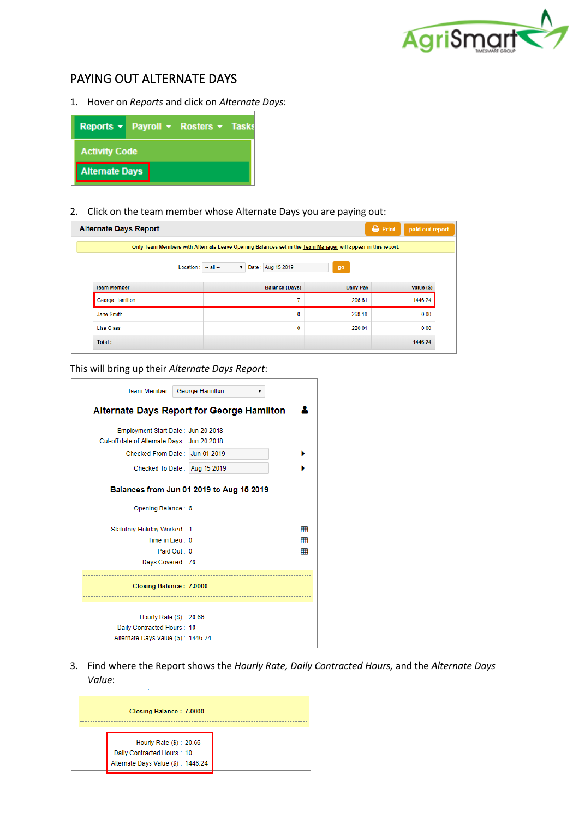

## PAYING OUT ALTERNATE DAYS

1. Hover on *Reports* and click on *Alternate Days*:



2. Click on the team member whose Alternate Days you are paying out:

| <b>Alternate Days Report</b>                                                                                |                                         |                  | $\bigoplus$ Print<br>paid out report |  |
|-------------------------------------------------------------------------------------------------------------|-----------------------------------------|------------------|--------------------------------------|--|
| Only Team Members with Alternate Leave Opening Balances set in the Team Manager will appear in this report. |                                         |                  |                                      |  |
| $Location: - all -$                                                                                         | Date: Aug 15 2019<br>$\pmb{\mathrm{v}}$ | go               |                                      |  |
| <b>Team Member</b>                                                                                          | <b>Balance (Days)</b>                   | <b>Daily Pay</b> | Value (\$)                           |  |
| George Hamilton                                                                                             | 7                                       | 206.61           | 1446.24                              |  |
| Jane Smith                                                                                                  | 0                                       | 268.18           | 0.00                                 |  |
| Lisa Glass                                                                                                  | 0                                       | 220.01           | 0.00                                 |  |
| Total:                                                                                                      |                                         |                  | 1446.24                              |  |

This will bring up their *Alternate Days Report*:

| Team Member: George Hamilton                                                                                        |                 |
|---------------------------------------------------------------------------------------------------------------------|-----------------|
| <b>Alternate Days Report for George Hamilton</b>                                                                    |                 |
| Employment Start Date: Jun 20 2018<br>Cut-off date of Alternate Days: Jun 20 2018<br>Checked From Date: Jun 01 2019 |                 |
| Checked To Date: Aug 15 2019                                                                                        |                 |
| Balances from Jun 01 2019 to Aug 15 2019<br>Opening Balance: 6                                                      |                 |
| Statutory Holiday Worked: 1                                                                                         | 囲               |
| Paid Out: 0                                                                                                         | 冊<br>囲          |
| Days Covered: 76                                                                                                    |                 |
| Closing Balance: 7.0000                                                                                             |                 |
| Hourly Rate (\$): 20.66<br>Daily Contracted Hours: 10<br>Alternate Days Value (\$): 1446.24                         |                 |
|                                                                                                                     | Time in Lieu 10 |

3. Find where the Report shows the *Hourly Rate, Daily Contracted Hours,* and the *Alternate Days Value*:

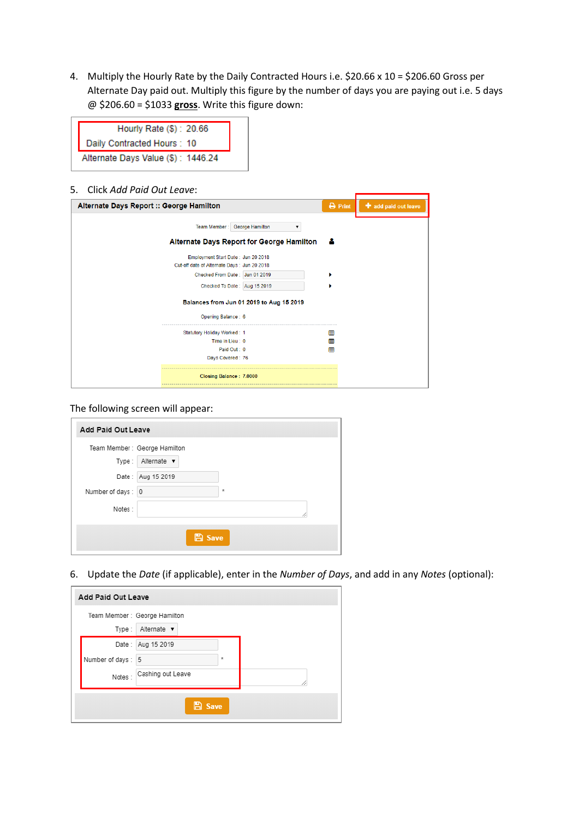4. Multiply the Hourly Rate by the Daily Contracted Hours i.e. \$20.66 x 10 = \$206.60 Gross per Alternate Day paid out. Multiply this figure by the number of days you are paying out i.e. 5 days @ \$206.60 = \$1033 **gross**. Write this figure down:

| Hourly Rate (\$): 20.66            |
|------------------------------------|
| Daily Contracted Hours: 10         |
| Alternate Days Value (\$): 1446.24 |

5. Click *Add Paid Out Leave*:

| Alternate Days Report :: George Hamilton                                          |                                                  | $\ominus$ Print | add paid out leave |
|-----------------------------------------------------------------------------------|--------------------------------------------------|-----------------|--------------------|
| Team Member: George Hamilton                                                      |                                                  |                 |                    |
|                                                                                   | <b>Alternate Days Report for George Hamilton</b> |                 |                    |
| Employment Start Date: Jun 20 2018<br>Cut-off date of Alternate Days: Jun 20 2018 |                                                  |                 |                    |
| Checked From Date: Jun 01 2019                                                    |                                                  |                 |                    |
| Checked To Date: Aug 15 2019                                                      |                                                  |                 |                    |
|                                                                                   | Balances from Jun 01 2019 to Aug 15 2019         |                 |                    |
| Opening Balance: 6                                                                |                                                  |                 |                    |
| Statutory Holiday Worked: 1                                                       |                                                  | 囲               |                    |
| Time in Lieu: 0                                                                   |                                                  | 囲               |                    |
| Paid Out: 0                                                                       |                                                  | 用               |                    |
| Days Covered: 76                                                                  |                                                  |                 |                    |
| Closing Balance: 7.0000                                                           |                                                  |                 |                    |

The following screen will appear:

| Add Paid Out Leave |                               |
|--------------------|-------------------------------|
|                    | Team Member : George Hamilton |
| Type:              | Alternate v                   |
|                    | Date: Aug 15 2019             |
| Number of days: 0  | $\pm$                         |
| Notes:             |                               |
|                    | <b>A</b> Save                 |

6. Update the *Date* (if applicable), enter in the *Number of Days*, and add in any *Notes* (optional):

| Add Paid Out Leave |                               |         |
|--------------------|-------------------------------|---------|
|                    | Team Member : George Hamilton |         |
| Type:              | Alternate v                   |         |
|                    | Date: Aug 15 2019             |         |
| Number of days: 5  |                               | $\star$ |
| Notes:             | Cashing out Leave             |         |
|                    | <b>B</b> Save                 |         |